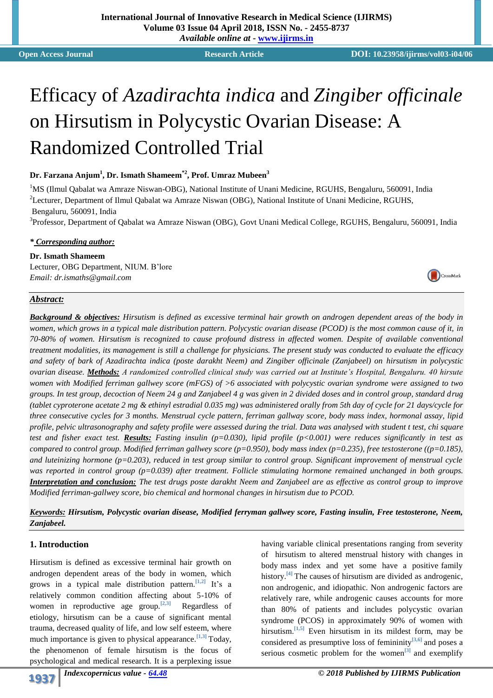# Efficacy of *Azadirachta indica* and *Zingiber officinale* on Hirsutism in Polycystic Ovarian Disease: A Randomized Controlled Trial

#### **Dr. Farzana Anjum<sup>1</sup> , Dr. Ismath Shameem\*2, Prof. Umraz Mubeen<sup>3</sup>**

<sup>1</sup>MS (Ilmul Qabalat wa Amraze Niswan-OBG), National Institute of Unani Medicine, RGUHS, Bengaluru, 560091, India <sup>2</sup>Lecturer, Department of Ilmul Qabalat wa Amraze Niswan (OBG), National Institute of Unani Medicine, RGUHS, Bengaluru, 560091, India

<sup>3</sup>Professor, Department of Qabalat wa Amraze Niswan (OBG), Govt Unani Medical College, RGUHS, Bengaluru, 560091, India

#### *\* Corresponding author:*

**Dr. Ismath Shameem** Lecturer, OBG Department, NIUM. B'lore *Email: dr.ismaths@gmail.com*

# *Abstract:*

*Background & objectives: Hirsutism is defined as excessive terminal hair growth on androgen dependent areas of the body in women, which grows in a typical male distribution pattern. Polycystic ovarian disease (PCOD) is the most common cause of it, in 70-80% of women. Hirsutism is recognized to cause profound distress in affected women. Despite of available conventional treatment modalities, its management is still a challenge for physicians. The present study was conducted to evaluate the efficacy and safety of bark of Azadirachta indica (poste darakht Neem) and Zingiber officinale (Zanjabeel) on hirsutism in polycystic ovarian disease. Methods: A randomized controlled clinical study was carried out at Institute's Hospital, Bengaluru. 40 hirsute women with Modified ferriman gallwey score (mFGS) of >6 associated with polycystic ovarian syndrome were assigned to two groups. In test group, decoction of Neem 24 g and Zanjabeel 4 g was given in 2 divided doses and in control group, standard drug (tablet cyproterone acetate 2 mg & ethinyl estradial 0.035 mg) was administered orally from 5th day of cycle for 21 days/cycle for three consecutive cycles for 3 months. Menstrual cycle pattern, ferriman gallway score, body mass index, hormonal assay, lipid profile, pelvic ultrasonography and safety profile were assessed during the trial. Data was analysed with student t test, chi square test and fisher exact test. Results: Fasting insulin (p=0.030), lipid profile (p<0.001) were reduces significantly in test as compared to control group. Modified ferriman gallwey score (p=0.950), body mass index (p=0.235), free testosterone ((p=0.185), and luteinizing hormone (p=0.203), reduced in test group similar to control group. Significant improvement of menstrual cycle was reported in control group (p=0.039) after treatment. Follicle stimulating hormone remained unchanged in both groups. Interpretation and conclusion: The test drugs poste darakht Neem and Zanjabeel are as effective as control group to improve Modified ferriman-gallwey score, bio chemical and hormonal changes in hirsutism due to PCOD.*

*Keywords: Hirsutism, Polycystic ovarian disease, Modified ferryman gallwey score, Fasting insulin, Free testosterone, Neem, Zanjabeel.*

#### **1. Introduction**

Hirsutism is defined as excessive terminal hair growth on androgen dependent areas of the body in women, which grows in a typical male distribution pattern.**[1,2]** It's a relatively common condition affecting about 5-10% of women in reproductive age group.**[2,3]** Regardless of etiology, hirsutism can be a cause of significant mental trauma, decreased quality of life, and low self esteem, where much importance is given to physical appearance.<sup>[1,3]</sup> Today, the phenomenon of female hirsutism is the focus of psychological and medical research. It is a perplexing issue

having variable clinical presentations ranging from severity of hirsutism to altered menstrual history with changes in body mass index and yet some have a positive family history.**[4]** The causes of hirsutism are divided as androgenic, non androgenic, and idiopathic. Non androgenic factors are relatively rare, while androgenic causes accounts for more than 80% of patients and includes polycystic ovarian syndrome (PCOS) in approximately 90% of women with hirsutism.**[1,5]** Even hirsutism in its mildest form, may be considered as presumptive loss of femininity**[3,6]** and poses a serious cosmetic problem for the women**[3]** and exemplify

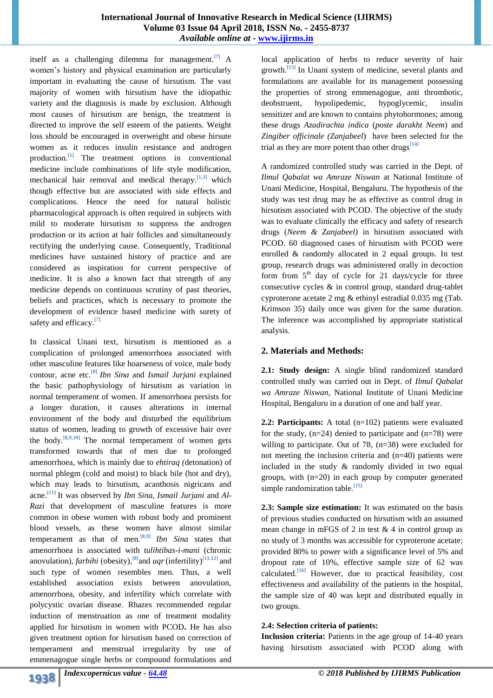itself as a challenging dilemma for management.<sup>[7]</sup> A women's history and physical examination are particularly important in evaluating the cause of hirsutism. The vast majority of women with hirsutism have the idiopathic variety and the diagnosis is made by exclusion. Although most causes of hirsutism are benign, the treatment is directed to improve the self esteem of the patients. Weight loss should be encouraged in overweight and obese hirsute women as it reduces insulin resistance and androgen production.**[1]** The treatment options in conventional medicine include combinations of life style modification, mechanical hair removal and medical therapy.**[1,3]** which though effective but are associated with side effects and complications. Hence the need for natural holistic pharmacological approach is often required in subjects with mild to moderate hirsutism to suppress the androgen production or its action at hair follicles and simultaneously rectifying the underlying cause. Consequently, Traditional medicines have sustained history of practice and are considered as inspiration for current perspective of medicine. It is also a known fact that strength of any medicine depends on continuous scrutiny of past theories, beliefs and practices, which is necessary to promote the development of evidence based medicine with surety of safety and efficacy.**[7]**

In classical Unani text, hirsutism is mentioned as a complication of prolonged amenorrhoea associated with other masculine features like hoarseness of voice, male body contour, acne etc.**[8]** *Ibn Sina* and *Ismail Jurjani* explained the basic pathophysiology of hirsutism as variation in normal temperament of women. If amenorrhoea persists for a longer duration, it causes alterations in internal environment of the body and disturbed the equilibrium status of women, leading to growth of excessive hair over the body.**[8,9,10]** The normal temperament of women gets transformed towards that of men due to prolonged amenorrhoea, which is mainly due to *ehtiraq (*detonation) of normal phlegm (cold and moist) to black bile (hot and dry), which may leads to hirsutism, acanthosis nigricans and acne.**[11]** It was observed by *Ibn Sina, Ismail Jurjani* and *Al-Razi* that development of masculine features is more common in obese women with robust body and prominent blood vessels, as these women have almost similar temperament as that of men.**[8,9]** *Ibn Sina* states that amenorrhoea is associated with *tulihtibas-i-mani* (chronic anovulation)*, farbihi* (obesity)*,* **[8]**and *uqr*(infertility)**[11,12]** and such type of women resembles men. Thus, a well established association exists between anovulation, amenorrhoea, obesity, and infertility which correlate with polycystic ovarian disease. Rhazes recommended regular induction of menstruation as one of treatment modality applied for hirsutism in women with PCOD**.** He has also given treatment option for hirsutism based on correction of temperament and menstrual irregularity by use of emmenagogue single herbs or compound formulations and

local application of herbs to reduce severity of hair growth.**[13]** In Unani system of medicine, several plants and formulations are available for its management possessing the properties of strong emmenagogue, anti thrombotic, deobstruent, hypolipedemic, hypoglycemic, insulin sensitizer and are known to contains phytohormones; among these drugs *Azadirachta indica* (*poste darakht Neem*) and *Zingiber officinale (Zanjabeel*) have been selected for the trial as they are more potent than other drugs**[14]**

A randomized controlled study was carried in the Dept. of *Ilmul Qabalat wa Amraze Niswan* at National Institute of Unani Medicine, Hospital, Bengaluru. The hypothesis of the study was test drug may be as effective as control drug in hirsutism associated with PCOD. The objective of the study was to evaluate clinically the efficacy and safety of research drugs (*Neem & Zanjabeel)* in hirsutism associated with PCOD. 60 diagnosed cases of hirsutism with PCOD were enrolled & randomly allocated in 2 equal groups. In test group, research drugs was administered orally in decoction form from  $5<sup>th</sup>$  day of cycle for 21 days/cycle for three consecutive cycles & in control group, standard drug-tablet cyproterone acetate 2 mg & ethinyl estradial 0.035 mg (Tab. Krimson 35) daily once was given for the same duration. The inference was accomplished by appropriate statistical analysis.

## **2. Materials and Methods:**

**2.1: Study design:** A single blind randomized standard controlled study was carried out in Dept. of *Ilmul Qabalat wa Amraze Niswan*, National Institute of Unani Medicine Hospital, Bengaluru in a duration of one and half year.

**2.2: Participants:** A total (n=102) patients were evaluated for the study,  $(n=24)$  denied to participate and  $(n=78)$  were willing to participate. Out of 78,  $(n=38)$  were excluded for not meeting the inclusion criteria and (n=40) patients were included in the study & randomly divided in two equal groups, with (n=20) in each group by computer generated simple randomization table.**[15]**

**2.3: Sample size estimation:** It was estimated on the basis of previous studies conducted on hirsutism with an assumed mean change in mFGS of 2 in test  $& 4$  in control group as no study of 3 months was accessible for cyproterone acetate; provided 80% to power with a significance level of 5% and dropout rate of 10%, effective sample size of 62 was calculated.**[16]** However, due to practical feasibility, cost effectiveness and availability of the patients in the hospital, the sample size of 40 was kept and distributed equally in two groups.

## **2.4: Selection criteria of patients:**

**Inclusion criteria:** Patients in the age group of 14-40 years having hirsutism associated with PCOD along with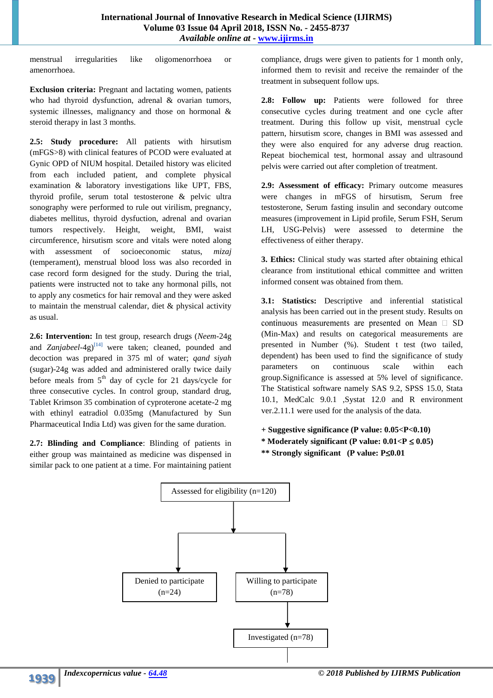menstrual irregularities like oligomenorrhoea or amenorrhoea.

**Exclusion criteria:** Pregnant and lactating women, patients who had thyroid dysfunction, adrenal & ovarian tumors, systemic illnesses, malignancy and those on hormonal & steroid therapy in last 3 months.

**2.5: Study procedure:** All patients with hirsutism (mFGS>8) with clinical features of PCOD were evaluated at Gynic OPD of NIUM hospital. Detailed history was elicited from each included patient, and complete physical examination & laboratory investigations like UPT, FBS, thyroid profile, serum total testosterone & pelvic ultra sonography were performed to rule out virilism, pregnancy, diabetes mellitus, thyroid dysfuction, adrenal and ovarian tumors respectively. Height, weight, BMI, waist circumference, hirsutism score and vitals were noted along with assessment of socioeconomic status, *mizaj*  (temperament), menstrual blood loss was also recorded in case record form designed for the study. During the trial, patients were instructed not to take any hormonal pills, not to apply any cosmetics for hair removal and they were asked to maintain the menstrual calendar, diet & physical activity as usual.

**2.6: Intervention:** In test group, research drugs (*Neem*-24g and *Zanjabeel-*4g) **[14]** were taken; cleaned, pounded and decoction was prepared in 375 ml of water; *qand siyah*  (sugar)-24g was added and administered orally twice daily before meals from  $5<sup>th</sup>$  day of cycle for 21 days/cycle for three consecutive cycles. In control group, standard drug, Tablet Krimson 35 combination of cyproterone acetate-2 mg with ethinyl eatradiol 0.035mg (Manufactured by Sun Pharmaceutical India Ltd) was given for the same duration.

**2.7: Blinding and Compliance**: Blinding of patients in either group was maintained as medicine was dispensed in similar pack to one patient at a time. For maintaining patient

compliance, drugs were given to patients for 1 month only, informed them to revisit and receive the remainder of the treatment in subsequent follow ups.

2.8: Follow up: Patients were followed for three consecutive cycles during treatment and one cycle after treatment. During this follow up visit, menstrual cycle pattern, hirsutism score, changes in BMI was assessed and they were also enquired for any adverse drug reaction. Repeat biochemical test, hormonal assay and ultrasound pelvis were carried out after completion of treatment.

**2.9: Assessment of efficacy:** Primary outcome measures were changes in mFGS of hirsutism, Serum free testosterone, Serum fasting insulin and secondary outcome measures (improvement in Lipid profile, Serum FSH, Serum LH, USG-Pelvis) were assessed to determine the effectiveness of either therapy.

**3. Ethics:** Clinical study was started after obtaining ethical clearance from institutional ethical committee and written informed consent was obtained from them.

**3.1: Statistics:** Descriptive and inferential statistical analysis has been carried out in the present study. Results on continuous measurements are presented on Mean  $\square$  SD (Min-Max) and results on categorical measurements are presented in Number (%). Student t test (two tailed, dependent) has been used to find the significance of study parameters on continuous scale within each group.Significance is assessed at 5% level of significance. The Statistical software namely SAS 9.2, SPSS 15.0, Stata 10.1, MedCalc 9.0.1 ,Systat 12.0 and R environment ver.2.11.1 were used for the analysis of the data.

## **+ Suggestive significance (P value: 0.05<P<0.10)** \* Moderately significant (P value:  $0.01 < P \le 0.05$ ) *<b>\*\** Strongly significant (P value: P≤0.01

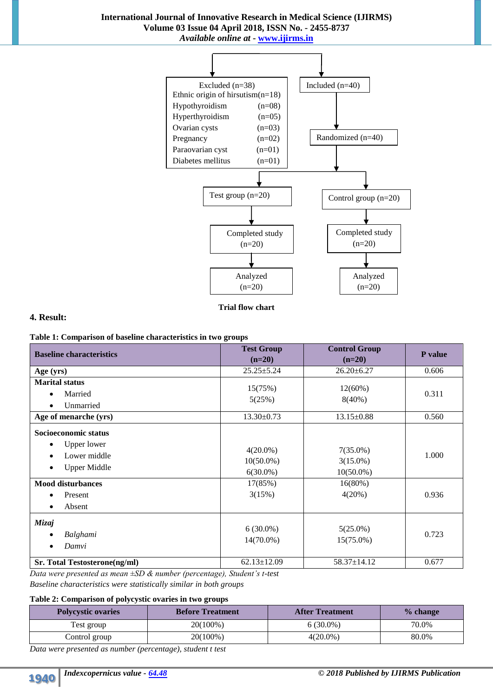

**Trial flow chart**

## **4. Result:**

|  |  |  | Table 1: Comparison of baseline characteristics in two groups |  |  |  |
|--|--|--|---------------------------------------------------------------|--|--|--|
|--|--|--|---------------------------------------------------------------|--|--|--|

| <b>Baseline characteristics</b>                                                                                                                                                        | <b>Test Group</b><br>$(n=20)$                                   | <b>Control Group</b><br>$(n=20)$                                | P value        |
|----------------------------------------------------------------------------------------------------------------------------------------------------------------------------------------|-----------------------------------------------------------------|-----------------------------------------------------------------|----------------|
| Age (yrs)                                                                                                                                                                              | $25.25 \pm 5.24$                                                | $26.20 \pm 6.27$                                                | 0.606          |
| <b>Marital status</b><br>Married<br>$\bullet$<br>Unmarried                                                                                                                             | 15(75%)<br>5(25%)                                               | $12(60\%)$<br>$8(40\%)$                                         | 0.311          |
| Age of menarche (yrs)                                                                                                                                                                  | 13.30±0.73                                                      | 13.15±0.88                                                      | 0.560          |
| Socioeconomic status<br><b>Upper lower</b><br>$\bullet$<br>Lower middle<br>$\bullet$<br><b>Upper Middle</b><br>$\bullet$<br><b>Mood disturbances</b><br>Present<br>Absent<br>$\bullet$ | $4(20.0\%)$<br>$10(50.0\%)$<br>$6(30.0\%)$<br>17(85%)<br>3(15%) | $7(35.0\%)$<br>$3(15.0\%)$<br>$10(50.0\%)$<br>16(80%)<br>4(20%) | 1.000<br>0.936 |
| Mizaj<br>Balghami<br>٠<br>Damvi<br>$\bullet$                                                                                                                                           | $6(30.0\%)$<br>14(70.0%)                                        | $5(25.0\%)$<br>15(75.0%)                                        | 0.723          |
| Sr. Total Testosterone(ng/ml)                                                                                                                                                          | $62.13 \pm 12.09$                                               | 58.37±14.12                                                     | 0.677          |

*Data were presented as mean ±SD & number (percentage), Student's t-test Baseline characteristics were statistically similar in both groups* 

## **Table 2: Comparison of polycystic ovaries in two groups**

| <b>Polycystic ovaries</b> | <b>Before Treatment</b> | <b>After Treatment</b> | % change |
|---------------------------|-------------------------|------------------------|----------|
| Test group                | 20(100%)                | $6(30.0\%)$            | 70.0%    |
| Control group             | 20(100%)                | $4(20.0\%)$            | 80.0%    |

*Data were presented as number (percentage), student t test*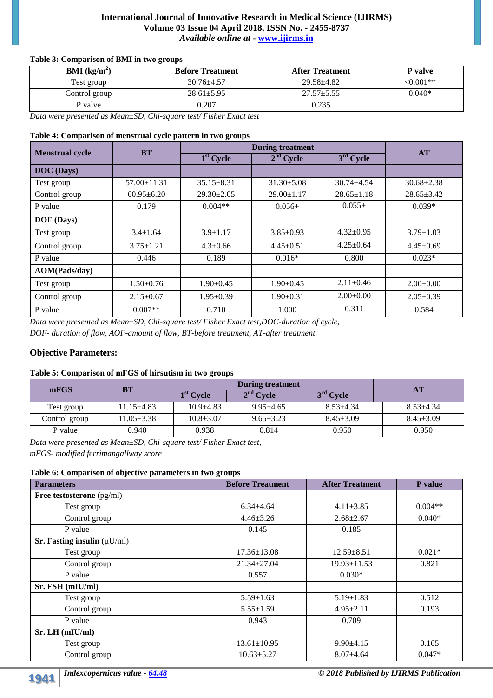## **International Journal of Innovative Research in Medical Science (IJIRMS) Volume 03 Issue 04 April 2018, ISSN No. - 2455-8737** *Available online at* **- www.ijirms.in**

## **Table 3: Comparison of BMI in two groups**

| <b>BMI</b> ( $kg/m2$ ) | <b>Before Treatment</b> | <b>After Treatment</b> | P valve    |
|------------------------|-------------------------|------------------------|------------|
| Test group             | $30.76 \pm 4.57$        | $29.58 + 4.82$         | $<0.001**$ |
| Control group          | $28.61 \pm 5.95$        | $27.57 \pm 5.55$       | $0.040*$   |
| P valve                | 0.207                   | 0.235                  |            |

*Data were presented as Mean±SD, Chi-square test/ Fisher Exact test*

#### **Table 4: Comparison of menstrual cycle pattern in two groups**

| <b>Menstrual cycle</b> | <b>BT</b>         | <b>During treatment</b> | AT               |                  |                  |
|------------------------|-------------------|-------------------------|------------------|------------------|------------------|
|                        |                   | $1st$ Cycle             | $2nd$ Cycle      | $3rd$ Cycle      |                  |
| <b>DOC</b> (Days)      |                   |                         |                  |                  |                  |
| Test group             | $57.00 \pm 11.31$ | $35.15 + 8.31$          | $31.30 \pm 5.08$ | $30.74 + 4.54$   | $30.68 \pm 2.38$ |
| Control group          | $60.95 \pm 6.20$  | $29.30 \pm 2.05$        | $29.00 \pm 1.17$ | $28.65 \pm 1.18$ | $28.65 \pm 3.42$ |
| P value                | 0.179             | $0.004**$               | $0.056+$         | $0.055+$         | $0.039*$         |
| <b>DOF</b> (Days)      |                   |                         |                  |                  |                  |
| Test group             | $3.4 \pm 1.64$    | $3.9 \pm 1.17$          | $3.85 \pm 0.93$  | $4.32 \pm 0.95$  | $3.79 \pm 1.03$  |
| Control group          | $3.75 \pm 1.21$   | $4.3 \pm 0.66$          | $4.45 \pm 0.51$  | $4.25 \pm 0.64$  | $4.45 \pm 0.69$  |
| P value                | 0.446             | 0.189                   | $0.016*$         | 0.800            | $0.023*$         |
| AOM(Pads/day)          |                   |                         |                  |                  |                  |
| Test group             | $1.50 \pm 0.76$   | $1.90 \pm 0.45$         | $1.90 \pm 0.45$  | $2.11 \pm 0.46$  | $2.00\pm0.00$    |
| Control group          | $2.15 \pm 0.67$   | $1.95 \pm 0.39$         | $1.90 \pm 0.31$  | $2.00\pm0.00$    | $2.05 \pm 0.39$  |
| P value                | $0.007**$         | 0.710                   | 1.000            | 0.311            | 0.584            |

*Data were presented as Mean±SD, Chi-square test/ Fisher Exact test,DOC-duration of cycle, DOF- duration of flow, AOF-amount of flow, BT-before treatment, AT-after treatment.*

## **Objective Parameters:**

#### **Table 5: Comparison of mFGS of hirsutism in two groups**

| mFGS          | BТ               |                 | <b>AT</b>       |                 |                 |
|---------------|------------------|-----------------|-----------------|-----------------|-----------------|
|               |                  | $1st$ Cycle     | $2nd$ Cycle     | $3rd$ Cycle     |                 |
| Test group    | $11.15 + 4.83$   | $10.9 + 4.83$   | $9.95 + 4.65$   | $8.53 + 4.34$   | $8.53 + 4.34$   |
| Control group | $11.05 \pm 3.38$ | $10.8 \pm 3.07$ | $9.65 \pm 3.23$ | $8.45 \pm 3.09$ | $8.45 \pm 3.09$ |
| P value       | 0.940            | 0.938           | 0.814           | 0.950           | 0.950           |

*Data were presented as Mean±SD, Chi-square test/ Fisher Exact test, mFGS- modified ferrimangallway score*

#### **Table 6: Comparison of objective parameters in two groups**

| <b>Parameters</b>                        | <b>Before Treatment</b> | <b>After Treatment</b> | P value   |
|------------------------------------------|-------------------------|------------------------|-----------|
| Free testosterone (pg/ml)                |                         |                        |           |
| Test group                               | $6.34{\pm}4.64$         | $4.11 \pm 3.85$        | $0.004**$ |
| Control group                            | $4.46 \pm 3.26$         | $2.68 \pm 2.67$        | $0.040*$  |
| P value                                  | 0.145                   | 0.185                  |           |
| <b>Sr. Fasting insulin</b> ( $\mu$ U/ml) |                         |                        |           |
| Test group                               | $17.36 \pm 13.08$       | $12.59 \pm 8.51$       | $0.021*$  |
| Control group                            | $21.34 \pm 27.04$       | $19.93 \pm 11.53$      | 0.821     |
| P value                                  | 0.557                   | $0.030*$               |           |
| Sr. FSH (mIU/ml)                         |                         |                        |           |
| Test group                               | $5.59 \pm 1.63$         | $5.19 \pm 1.83$        | 0.512     |
| Control group                            | $5.55 \pm 1.59$         | $4.95 \pm 2.11$        | 0.193     |
| P value                                  | 0.943                   | 0.709                  |           |
| $Sr. LH$ (mIU/ml)                        |                         |                        |           |
| Test group                               | $13.61 \pm 10.95$       | $9.90 \pm 4.15$        | 0.165     |
| Control group                            | $10.63 \pm 5.27$        | $8.07 \pm 4.64$        | $0.047*$  |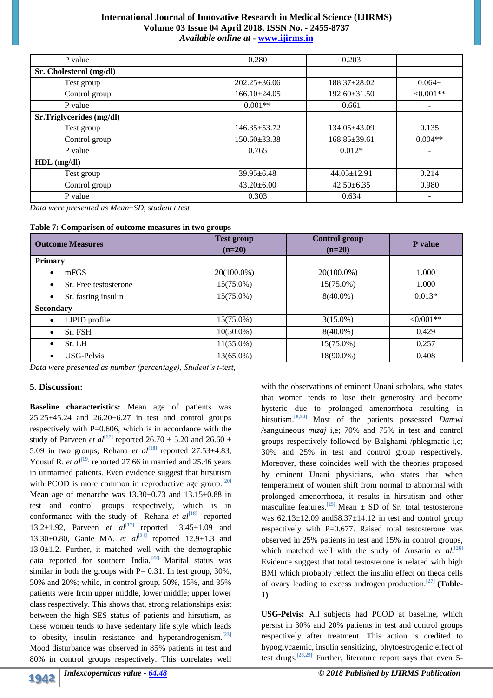### **International Journal of Innovative Research in Medical Science (IJIRMS) Volume 03 Issue 04 April 2018, ISSN No. - 2455-8737** *Available online at* **- www.ijirms.in**

| P value                  | 0.280              | 0.203              |            |
|--------------------------|--------------------|--------------------|------------|
| Sr. Cholesterol (mg/dl)  |                    |                    |            |
| Test group               | $202.25 \pm 36.06$ | $188.37 \pm 28.02$ | $0.064+$   |
| Control group            | $166.10\pm24.05$   | $192.60 \pm 31.50$ | $<0.001**$ |
| P value                  | $0.001**$          | 0.661              |            |
| Sr.Triglycerides (mg/dl) |                    |                    |            |
| Test group               | $146.35 \pm 53.72$ | $134.05\pm43.09$   | 0.135      |
| Control group            | $150.60 \pm 33.38$ | $168.85 \pm 39.61$ | $0.004**$  |
| P value                  | 0.765              | $0.012*$           |            |
| $HDL$ (mg/dl)            |                    |                    |            |
| Test group               | $39.95 \pm 6.48$   | $44.05 \pm 12.91$  | 0.214      |
| Control group            | $43.20 \pm 6.00$   | $42.50 \pm 6.35$   | 0.980      |
| P value                  | 0.303              | 0.634              |            |

*Data were presented as Mean±SD, student t test* 

|  | Table 7: Comparison of outcome measures in two groups |  |  |  |  |  |  |
|--|-------------------------------------------------------|--|--|--|--|--|--|
|--|-------------------------------------------------------|--|--|--|--|--|--|

| <b>Outcome Measures</b>            | <b>Test group</b><br>$(n=20)$ | <b>Control group</b><br>$(n=20)$ | <b>P</b> value     |
|------------------------------------|-------------------------------|----------------------------------|--------------------|
| <b>Primary</b>                     |                               |                                  |                    |
| mFGS<br>٠                          | 20(100.0%)                    | 20(100.0%)                       | 1.000              |
| Sr. Free testosterone<br>$\bullet$ | 15(75.0%)                     | $15(75.0\%)$                     | 1.000              |
| Sr. fasting insulin<br>$\bullet$   | $15(75.0\%)$                  | $8(40.0\%)$                      | $0.013*$           |
| <b>Secondary</b>                   |                               |                                  |                    |
| LIPID profile<br>$\bullet$         | $15(75.0\%)$                  | $3(15.0\%)$                      | $\langle 0/001$ ** |
| Sr. FSH<br>$\bullet$               | $10(50.0\%)$                  | $8(40.0\%)$                      | 0.429              |
| Sr. LH<br>$\bullet$                | $11(55.0\%)$                  | 15(75.0%)                        | 0.257              |
| USG-Pelvis<br>$\bullet$            | 13(65.0%)                     | 18(90.0%)                        | 0.408              |

*Data were presented as number (percentage), Student's t-test,*

#### **5. Discussion:**

**Baseline characteristics:** Mean age of patients was  $25.25\pm45.24$  and  $26.20\pm6.27$  in test and control groups respectively with P=0.606, which is in accordance with the study of Parveen *et al*<sup>[17]</sup> reported 26.70  $\pm$  5.20 and 26.60  $\pm$ 5.09 in two groups, Rehana *et al*<sup>[18]</sup> reported  $27.53\pm4.83$ , Yousuf R. *et al*<sup>[19]</sup> reported 27.66 in married and 25.46 years in unmarried patients. Even evidence suggest that hirsutism with PCOD is more common in reproductive age group.**[20]** Mean age of menarche was  $13.30\pm0.73$  and  $13.15\pm0.88$  in test and control groups respectively, which is in conformance with the study of Rehana *et al*<sup>[18]</sup> reported 13.2±1.92, Parveen *et al*<sup>[17]</sup> reported 13.45±1.09 and 13.30±0.80, Ganie MA. *et al* **[21]** reported 12.9±1.3 and  $13.0 \pm 1.2$ . Further, it matched well with the demographic data reported for southern India. **[22]** Marital status was similar in both the groups with  $P = 0.31$ . In test group, 30%, 50% and 20%; while, in control group, 50%, 15%, and 35% patients were from upper middle, lower middle; upper lower class respectively. This shows that, strong relationships exist between the high SES status of patients and hirsutism, as these women tends to have sedentary life style which leads to obesity, insulin resistance and hyperandrogenism.**[23]** Mood disturbance was observed in 85% patients in test and 80% in control groups respectively. This correlates well

that women tends to lose their generosity and become hysteric due to prolonged amenorrhoea resulting in hirsutism.**[8,24]** Most of the patients possessed *Damwi /*sanguineous *mizaj* i,e; 70% and 75% in test and control groups respectively followed by Balghami /phlegmatic i,e; 30% and 25% in test and control group respectively. Moreover, these coincides well with the theories proposed by eminent Unani physicians, who states that when temperament of women shift from normal to abnormal with prolonged amenorrhoea, it results in hirsutism and other masculine features.<sup>[25]</sup> Mean  $\pm$  SD of Sr. total testosterone was  $62.13 \pm 12.09$  and  $58.37 \pm 14.12$  in test and control group respectively with P=0.677. Raised total testosterone was observed in 25% patients in test and 15% in control groups, which matched well with the study of Ansarin *et al.*<sup>[26]</sup> Evidence suggest that total testosterone is related with high BMI which probably reflect the insulin effect on theca cells of ovary leading to excess androgen production.**[27] (Table-1)**

with the observations of eminent Unani scholars, who states

**USG-Pelvis:** All subjects had PCOD at baseline, which persist in 30% and 20% patients in test and control groups respectively after treatment. This action is credited to hypoglycaemic, insulin sensitizing, phytoestrogenic effect of test drugs. **[28,29]** Further, literature report says that even 5-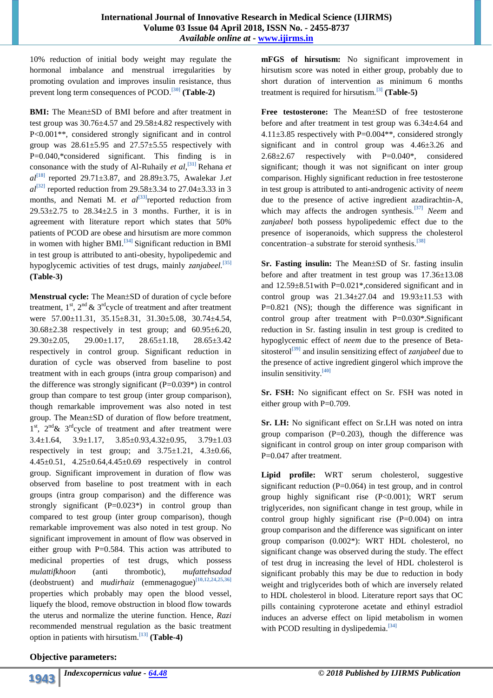10% reduction of initial body weight may regulate the hormonal imbalance and menstrual irregularities by promoting ovulation and improves insulin resistance, thus prevent long term consequences of PCOD.**[30] (Table-2)**

**BMI:** The Mean $\pm$ SD of BMI before and after treatment in test group was 30.76±4.57 and 29.58±4.82 respectively with P<0.001\*\*, considered strongly significant and in control group was  $28.61 \pm 5.95$  and  $27.57 \pm 5.55$  respectively with P=0.040,\*considered significant. This finding is in consonance with the study of Al-Ruhaily *et al,* **[31]** Rehana *et al***[18]** reported 29.71±3.87, and 28.89±3.75, Awalekar J.*et*   $al^{[32]}$  reported reduction from 29.58 $\pm$ 3.34 to 27.04 $\pm$ 3.33 in 3 months, and Nemati M. *et al*<sup>[33]</sup> reported reduction from  $29.53\pm2.75$  to  $28.34\pm2.5$  in 3 months. Further, it is in agreement with literature report which states that 50% patients of PCOD are obese and hirsutism are more common in women with higher BMI.**[34]** Significant reduction in BMI in test group is attributed to anti-obesity, hypolipedemic and hypoglycemic activities of test drugs, mainly *zanjabeel.***[35] (Table-3)**

**Menstrual cycle:** The Mean $\pm$ SD of duration of cycle before treatment,  $1^{st}$ ,  $2^{nd}$  &  $3^{rd}$ cycle of treatment and after treatment were 57.00±11.31, 35.15±8.31, 31.30±5.08, 30.74±4.54,  $30.68 \pm 2.38$  respectively in test group; and  $60.95 \pm 6.20$ , 29.30±2.05, 29.00±1.17, 28.65±1.18, 28.65±3.42 respectively in control group. Significant reduction in duration of cycle was observed from baseline to post treatment with in each groups (intra group comparison) and the difference was strongly significant  $(P=0.039*)$  in control group than compare to test group (inter group comparison), though remarkable improvement was also noted in test group. The Mean $\pm$ SD of duration of flow before treatment, 1<sup>st</sup>, 2<sup>nd</sup> & 3<sup>rd</sup>cycle of treatment and after treatment were 3.4±1.64, 3.9±1.17, 3.85±0.93,4.32±0.95, 3.79±1.03 respectively in test group; and  $3.75 \pm 1.21$ ,  $4.3 \pm 0.66$ , 4.45±0.51, 4.25±0.64,4.45±0.69 respectively in control group. Significant improvement in duration of flow was observed from baseline to post treatment with in each groups (intra group comparison) and the difference was strongly significant  $(P=0.023^*)$  in control group than compared to test group (inter group comparison), though remarkable improvement was also noted in test group. No significant improvement in amount of flow was observed in either group with  $P=0.584$ . This action was attributed to medicinal properties of test drugs, which possess *mulattifkhoon* (anti thrombotic)*, mufattehsadad* (deobstruent) and *mudirhaiz* (emmenagogue)**[10,12,24,25,36]** properties which probably may open the blood vessel, liquefy the blood, remove obstruction in blood flow towards the uterus and normalize the uterine function. Hence, *Razi* recommended menstrual regulation as the basic treatment option in patients with hirsutism. **[13] (Table-4)**

**mFGS of hirsutism:** No significant improvement in hirsutism score was noted in either group, probably due to short duration of intervention as minimum 6 months treatment is required for hirsutism.**[3] (Table-5)**

Free testosterone: The Mean±SD of free testosterone before and after treatment in test group was 6.34±4.64 and  $4.11\pm3.85$  respectively with P=0.004\*\*, considered strongly significant and in control group was 4.46±3.26 and  $2.68\pm2.67$  respectively with  $P=0.040^*$ , considered significant; though it was not significant on inter group comparison. Highly significant reduction in free testosterone in test group is attributed to anti-androgenic activity of *neem* due to the presence of active ingredient azadirachtin-A, which may affects the androgen synthesis.**[37]** *Neem* and *zanjabeel* both possess hypolipedemic effect due to the presence of isoperanoids, which suppress the cholesterol concentration–a substrate for steroid synthesis.**[38]**

**Sr. Fasting insulin:** The Mean±SD of Sr. fasting insulin before and after treatment in test group was 17.36±13.08 and 12.59±8.51with P=0.021\*,considered significant and in control group was  $21.34 \pm 27.04$  and  $19.93 \pm 11.53$  with  $P=0.821$  (NS); though the difference was significant in control group after treatment with P=0.030\*.Significant reduction in Sr. fasting insulin in test group is credited to hypoglycemic effect of *neem* due to the presence of Betasitosterol**[39]** and insulin sensitizing effect of *zanjabeel* due to the presence of active ingredient gingerol which improve the insulin sensitivity.**[40]**

**Sr. FSH:** No significant effect on Sr. FSH was noted in either group with P=0.709.

**Sr. LH:** No significant effect on Sr.LH was noted on intra group comparison  $(P=0.203)$ , though the difference was significant in control group on inter group comparison with P=0.047 after treatment.

**Lipid profile:** WRT serum cholesterol, suggestive significant reduction  $(P=0.064)$  in test group, and in control group highly significant rise (P<0.001); WRT serum triglycerides, non significant change in test group, while in control group highly significant rise (P=0.004) on intra group comparison and the difference was significant on inter group comparison (0.002\*): WRT HDL cholesterol, no significant change was observed during the study. The effect of test drug in increasing the level of HDL cholesterol is significant probably this may be due to reduction in body weight and triglycerides both of which are inversely related to HDL cholesterol in blood. Literature report says that OC pills containing cyproterone acetate and ethinyl estradiol induces an adverse effect on lipid metabolism in women with PCOD resulting in dyslipedemia.<sup>[34]</sup>

## **Objective parameters:**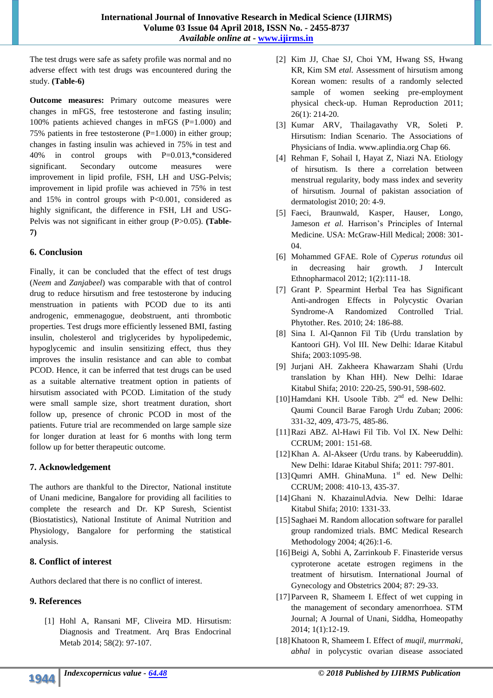The test drugs were safe as safety profile was normal and no adverse effect with test drugs was encountered during the study. **(Table-6)**

**Outcome measures:** Primary outcome measures were changes in mFGS, free testosterone and fasting insulin; 100% patients achieved changes in mFGS (P=1.000) and 75% patients in free testosterone  $(P=1.000)$  in either group; changes in fasting insulin was achieved in 75% in test and 40% in control groups with P=0.013,\*considered significant. Secondary outcome measures were improvement in lipid profile, FSH, LH and USG-Pelvis; improvement in lipid profile was achieved in 75% in test and 15% in control groups with P<0.001, considered as highly significant, the difference in FSH, LH and USG-Pelvis was not significant in either group (P>0.05). **(Table-7)**

## **6. Conclusion**

Finally, it can be concluded that the effect of test drugs (*Neem* and *Zanjabeel*) was comparable with that of control drug to reduce hirsutism and free testosterone by inducing menstruation in patients with PCOD due to its anti androgenic, emmenagogue, deobstruent, anti thrombotic properties. Test drugs more efficiently lessened BMI, fasting insulin, cholesterol and triglycerides by hypolipedemic, hypoglycemic and insulin sensitizing effect, thus they improves the insulin resistance and can able to combat PCOD. Hence, it can be inferred that test drugs can be used as a suitable alternative treatment option in patients of hirsutism associated with PCOD. Limitation of the study were small sample size, short treatment duration, short follow up, presence of chronic PCOD in most of the patients. Future trial are recommended on large sample size for longer duration at least for 6 months with long term follow up for better therapeutic outcome.

## **7. Acknowledgement**

The authors are thankful to the Director, National institute of Unani medicine, Bangalore for providing all facilities to complete the research and Dr. KP Suresh, Scientist (Biostatistics), National Institute of Animal Nutrition and Physiology, Bangalore for performing the statistical analysis.

## **8. Conflict of interest**

Authors declared that there is no conflict of interest.

# **9. References**

[1] Hohl A, Ransani MF, Cliveira MD. Hirsutism: Diagnosis and Treatment. Arq Bras Endocrinal Metab 2014; 58(2): 97-107.

- [2] Kim JJ, Chae SJ, Choi YM, Hwang SS, Hwang KR, Kim SM *etal.* Assessment of hirsutism among Korean women: results of a randomly selected sample of women seeking pre-employment physical check-up. Human Reproduction 2011; 26(1): 214-20.
- [3] Kumar ARV, Thailagavathy VR, Soleti P. Hirsutism: Indian Scenario. The Associations of Physicians of India. www.aplindia.org Chap 66.
- [4] Rehman F, Sohail I, Hayat Z, Niazi NA. Etiology of hirsutism. Is there a correlation between menstrual regularity, body mass index and severity of hirsutism. Journal of pakistan association of dermatologist 2010; 20: 4-9.
- [5] Faeci, Braunwald, Kasper, Hauser, Longo, Jameson *et al*. Harrison's Principles of Internal Medicine. USA: McGraw-Hill Medical; 2008: 301-  $04$
- [6] Mohammed GFAE. Role of *Cyperus rotundus* oil decreasing hair growth. J Intercult Ethnopharmacol 2012; 1(2):111-18.
- [7] Grant P. Spearmint Herbal Tea has Significant Anti-androgen Effects in Polycystic Ovarian Syndrome-A Randomized Controlled Trial. Phytother. Res. 2010; 24: 186-88.
- [8] Sina I. Al-Qannon Fil Tib (Urdu translation by Kantoori GH). Vol III. New Delhi: Idarae Kitabul Shifa; 2003:1095-98.
- [9] Jurjani AH. Zakheera Khawarzam Shahi (Urdu translation by Khan HH). New Delhi: Idarae Kitabul Shifa; 2010: 220-25, 590-91, 598-602.
- [10] Hamdani KH. Usoole Tibb. 2<sup>nd</sup> ed. New Delhi: Qaumi Council Barae Farogh Urdu Zuban; 2006: 331-32, 409, 473-75, 485-86.
- [11]Razi ABZ. Al-Hawi Fil Tib. Vol IX. New Delhi: CCRUM; 2001: 151-68.
- [12] Khan A. Al-Akseer (Urdu trans. by Kabeeruddin). New Delhi: Idarae Kitabul Shifa; 2011: 797-801.
- [13] Qumri AMH. GhinaMuna. 1<sup>st</sup> ed. New Delhi: CCRUM; 2008: 410-13, 435-37.
- [14]Ghani N. KhazainulAdvia. New Delhi: Idarae Kitabul Shifa; 2010: 1331-33.
- [15] Saghaei M. Random allocation software for parallel group randomized trials. BMC Medical Research Methodology 2004; 4(26):1-6.
- [16]Beigi A, Sobhi A, Zarrinkoub F. Finasteride versus cyproterone acetate estrogen regimens in the treatment of hirsutism. International Journal of Gynecology and Obstetrics 2004; 87: 29-33.
- [17]Parveen R, Shameem I. Effect of wet cupping in the management of secondary amenorrhoea. STM Journal; A Journal of Unani, Siddha, Homeopathy 2014; 1(1):12-19.
- [18]Khatoon R, Shameem I. Effect of *muqil, murrmaki, abhal* in polycystic ovarian disease associated